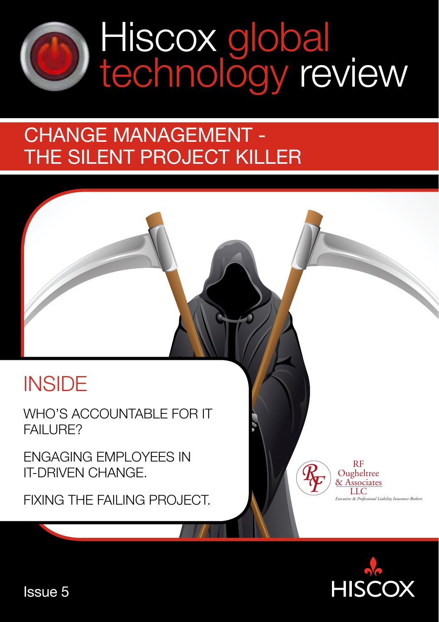

# Hiscox global<br>technology review

## change management the silent project killer

## **INSIDE**

WHO'S ACCOUNTABLE FOR IT FAII URF?

Engaging employees in IT-driven change.

FIXING THE FAILING PROJECT.



RF **Ougheltree** & Associates LLC *Executive* & *Professional Liability Insurance Brokers*

Issue 5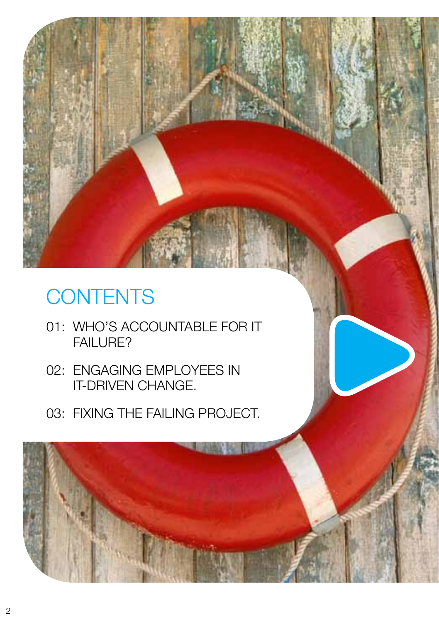# **CONTENTS**

- 01: who's accountable for IT FAILURE?
- 02: Engaging employees in IT-driven change.
- 03: fixing the failing project.

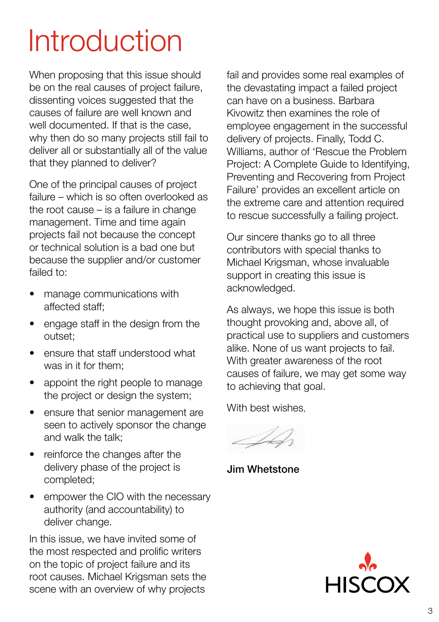# **Introduction**

When proposing that this issue should be on the real causes of project failure, dissenting voices suggested that the causes of failure are well known and well documented. If that is the case, why then do so many projects still fail to deliver all or substantially all of the value that they planned to deliver?

One of the principal causes of project failure – which is so often overlooked as the root cause – is a failure in change management. Time and time again projects fail not because the concept or technical solution is a bad one but because the supplier and/or customer failed to:

- manage communications with affected staff;
- • engage staff in the design from the outset;
- ensure that staff understood what was in it for them;
- appoint the right people to manage the project or design the system;
- ensure that senior management are seen to actively sponsor the change and walk the talk;
- reinforce the changes after the delivery phase of the project is completed;
- empower the CIO with the necessary authority (and accountability) to deliver change.

In this issue, we have invited some of the most respected and prolific writers on the topic of project failure and its root causes. Michael Krigsman sets the scene with an overview of why projects

fail and provides some real examples of the devastating impact a failed project can have on a business. Barbara Kivowitz then examines the role of employee engagement in the successful delivery of projects. Finally, Todd C. Williams, author of 'Rescue the Problem Project: A Complete Guide to Identifying, Preventing and Recovering from Project Failure' provides an excellent article on the extreme care and attention required to rescue successfully a failing project.

Our sincere thanks go to all three contributors with special thanks to Michael Krigsman, whose invaluable support in creating this issue is acknowledged.

As always, we hope this issue is both thought provoking and, above all, of practical use to suppliers and customers alike. None of us want projects to fail. With greater awareness of the root causes of failure, we may get some way to achieving that goal.

With best wishes,

Jim Whetstone

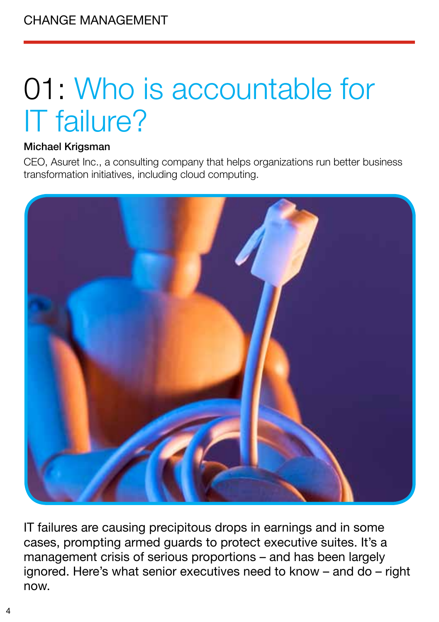# 01: Who is accountable for IT failure?

#### Michael Krigsman

CEO, Asuret Inc., a consulting company that helps organizations run better business transformation initiatives, including cloud computing.



IT failures are causing precipitous drops in earnings and in some cases, prompting armed guards to protect executive suites. It's a management crisis of serious proportions – and has been largely ignored. Here's what senior executives need to know – and do – right now.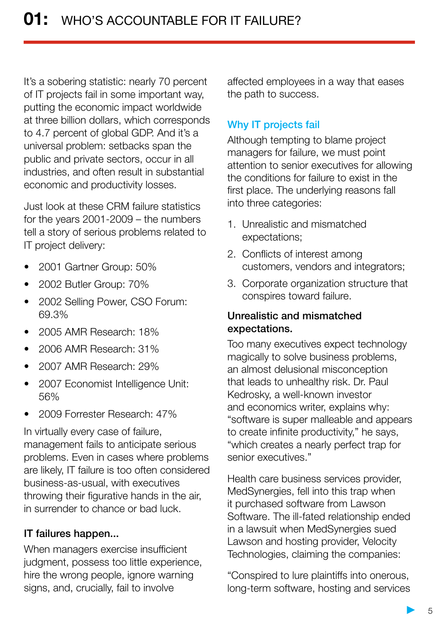It's a sobering statistic: nearly 70 percent of IT projects fail in some important way, putting the economic impact worldwide at three billion dollars, which corresponds to 4.7 percent of global GDP. And it's a universal problem: setbacks span the public and private sectors, occur in all industries, and often result in substantial economic and productivity losses.

Just look at these CRM failure statistics for the years 2001-2009 – the numbers tell a story of serious problems related to IT project delivery:

- 2001 Gartner Group: 50%
- 2002 Butler Group: 70%
- 2002 Selling Power, CSO Forum: 69.3%
- 2005 AMR Research: 18%
- 2006 AMR Research: 31%
- 2007 AMR Research: 29%
- 2007 Economist Intelligence Unit: 56%
- • 2009 Forrester Research: 47%

In virtually every case of failure, management fails to anticipate serious problems. Even in cases where problems are likely, IT failure is too often considered business-as-usual, with executives throwing their figurative hands in the air, in surrender to chance or bad luck.

#### IT failures happen...

When managers exercise insufficient judgment, possess too little experience, hire the wrong people, ignore warning signs, and, crucially, fail to involve

affected employees in a way that eases the path to success.

#### Why IT projects fail

Although tempting to blame project managers for failure, we must point attention to senior executives for allowing the conditions for failure to exist in the first place. The underlying reasons fall into three categories:

- 1. Unrealistic and mismatched expectations;
- 2. Conflicts of interest among customers, vendors and integrators;
- 3. Corporate organization structure that conspires toward failure.

#### Unrealistic and mismatched expectations.

Too many executives expect technology magically to solve business problems, an almost delusional misconception that leads to unhealthy risk. Dr. Paul Kedrosky, a well-known investor and economics writer, explains why: "software is super malleable and appears to create infinite productivity," he says, "which creates a nearly perfect trap for senior executives."

Health care business services provider, MedSynergies, fell into this trap when it purchased software from Lawson Software. The ill-fated relationship ended in a lawsuit when MedSynergies sued Lawson and hosting provider, Velocity Technologies, claiming the companies:

"Conspired to lure plaintiffs into onerous, long-term software, hosting and services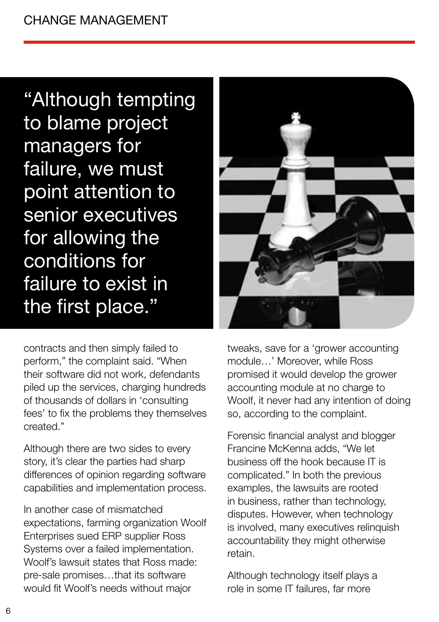"Although tempting to blame project managers for failure, we must point attention to senior executives for allowing the conditions for failure to exist in the first place."



contracts and then simply failed to perform," the complaint said. "When their software did not work, defendants piled up the services, charging hundreds of thousands of dollars in 'consulting fees' to fix the problems they themselves created."

Although there are two sides to every story, it's clear the parties had sharp differences of opinion regarding software capabilities and implementation process.

In another case of mismatched expectations, farming organization Woolf Enterprises sued ERP supplier Ross Systems over a failed implementation. Woolf's lawsuit states that Ross made: pre-sale promises…that its software would fit Woolf's needs without major

tweaks, save for a 'grower accounting module…' Moreover, while Ross promised it would develop the grower accounting module at no charge to Woolf, it never had any intention of doing so, according to the complaint.

Forensic financial analyst and blogger Francine McKenna adds, "We let business off the hook because IT is complicated." In both the previous examples, the lawsuits are rooted in business, rather than technology, disputes. However, when technology is involved, many executives relinquish accountability they might otherwise retain.

Although technology itself plays a role in some IT failures, far more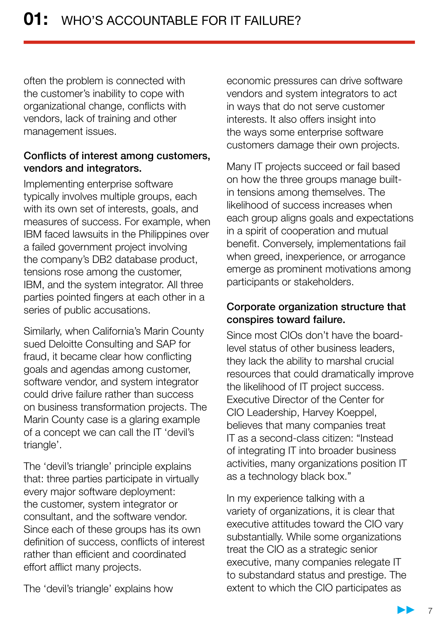often the problem is connected with the customer's inability to cope with organizational change, conflicts with vendors, lack of training and other management issues.

#### Conflicts of interest among customers, vendors and integrators.

Implementing enterprise software typically involves multiple groups, each with its own set of interests, goals, and measures of success. For example, when IBM faced lawsuits in the Philippines over a failed government project involving the company's DB2 database product, tensions rose among the customer, IBM, and the system integrator. All three parties pointed fingers at each other in a series of public accusations.

Similarly, when California's Marin County sued Deloitte Consulting and SAP for fraud, it became clear how conflicting goals and agendas among customer, software vendor, and system integrator could drive failure rather than success on business transformation projects. The Marin County case is a glaring example of a concept we can call the IT 'devil's triangle'.

The 'devil's triangle' principle explains that: three parties participate in virtually every major software deployment: the customer, system integrator or consultant, and the software vendor. Since each of these groups has its own definition of success, conflicts of interest rather than efficient and coordinated effort afflict many projects.

economic pressures can drive software vendors and system integrators to act in ways that do not serve customer interests. It also offers insight into the ways some enterprise software customers damage their own projects.

Many IT projects succeed or fail based on how the three groups manage builtin tensions among themselves. The likelihood of success increases when each group aligns goals and expectations in a spirit of cooperation and mutual benefit. Conversely, implementations fail when greed, inexperience, or arrogance emerge as prominent motivations among participants or stakeholders.

#### Corporate organization structure that conspires toward failure.

Since most CIOs don't have the boardlevel status of other business leaders, they lack the ability to marshal crucial resources that could dramatically improve the likelihood of IT project success. Executive Director of the Center for CIO Leadership, Harvey Koeppel, believes that many companies treat IT as a second-class citizen: "Instead of integrating IT into broader business activities, many organizations position IT as a technology black box."

In my experience talking with a variety of organizations, it is clear that executive attitudes toward the CIO vary substantially. While some organizations treat the CIO as a strategic senior executive, many companies relegate IT to substandard status and prestige. The extent to which the CIO participates as

The 'devil's triangle' explains how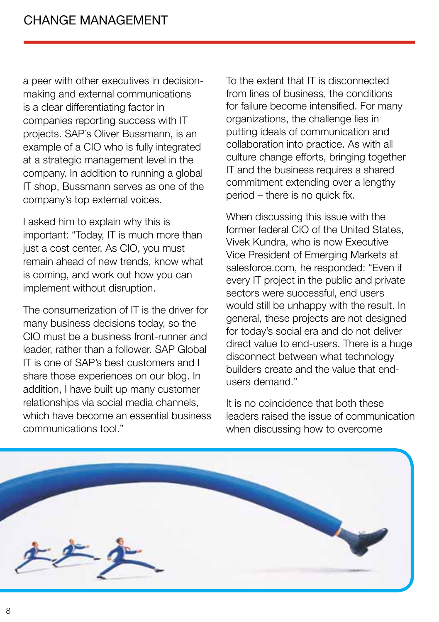a peer with other executives in decisionmaking and external communications is a clear differentiating factor in companies reporting success with IT projects. SAP's Oliver Bussmann, is an example of a CIO who is fully integrated at a strategic management level in the company. In addition to running a global IT shop, Bussmann serves as one of the company's top external voices.

I asked him to explain why this is important: "Today, IT is much more than just a cost center. As CIO, you must remain ahead of new trends, know what is coming, and work out how you can implement without disruption.

The consumerization of IT is the driver for many business decisions today, so the CIO must be a business front-runner and leader, rather than a follower. SAP Global IT is one of SAP's best customers and I share those experiences on our blog. In addition, I have built up many customer relationships via social media channels, which have become an essential business communications tool."

To the extent that IT is disconnected from lines of business, the conditions for failure become intensified. For many organizations, the challenge lies in putting ideals of communication and collaboration into practice. As with all culture change efforts, bringing together IT and the business requires a shared commitment extending over a lengthy period – there is no quick fix.

When discussing this issue with the former federal CIO of the United States, Vivek Kundra, who is now Executive Vice President of Emerging Markets at salesforce.com, he responded: "Even if every IT project in the public and private sectors were successful, end users would still be unhappy with the result. In general, these projects are not designed for today's social era and do not deliver direct value to end-users. There is a huge disconnect between what technology builders create and the value that endusers demand."

It is no coincidence that both these leaders raised the issue of communication when discussing how to overcome

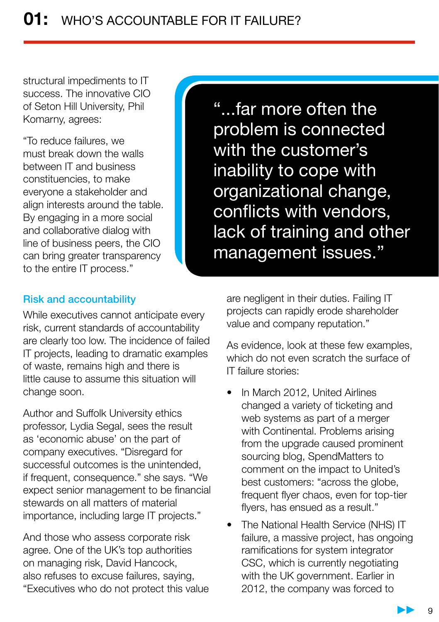structural impediments to IT success. The innovative CIO of Seton Hill University, Phil Komarny, agrees:

"To reduce failures, we must break down the walls between IT and business constituencies, to make everyone a stakeholder and align interests around the table. By engaging in a more social and collaborative dialog with line of business peers, the CIO can bring greater transparency to the entire IT process."

"...far more often the problem is connected with the customer's inability to cope with organizational change, conflicts with vendors, lack of training and other management issues."

#### Risk and accountability

While executives cannot anticipate every risk, current standards of accountability are clearly too low. The incidence of failed IT projects, leading to dramatic examples of waste, remains high and there is little cause to assume this situation will change soon.

Author and Suffolk University ethics professor, Lydia Segal, sees the result as 'economic abuse' on the part of company executives. "Disregard for successful outcomes is the unintended, if frequent, consequence." she says. "We expect senior management to be financial stewards on all matters of material importance, including large IT projects."

And those who assess corporate risk agree. One of the UK's top authorities on managing risk, David Hancock, also refuses to excuse failures, saying, "Executives who do not protect this value are negligent in their duties. Failing IT projects can rapidly erode shareholder value and company reputation."

As evidence, look at these few examples, which do not even scratch the surface of IT failure stories:

- In March 2012, United Airlines changed a variety of ticketing and web systems as part of a merger with Continental. Problems arising from the upgrade caused prominent sourcing blog, SpendMatters to comment on the impact to United's best customers: "across the globe, frequent flyer chaos, even for top-tier flyers, has ensued as a result."
- The National Health Service (NHS) IT failure, a massive project, has ongoing ramifications for system integrator CSC, which is currently negotiating with the UK government. Earlier in 2012, the company was forced to

9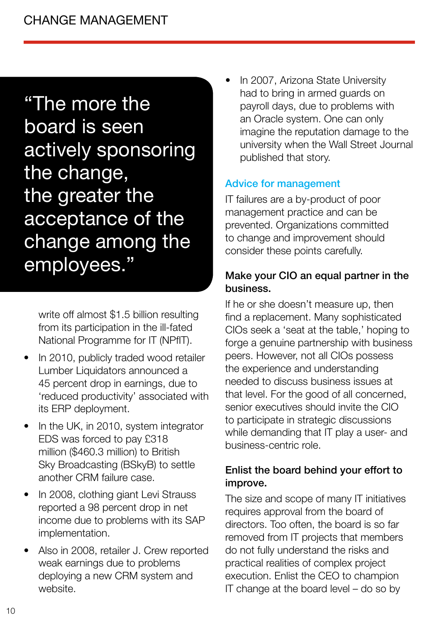## "The more the

board is seen actively sponsoring the change, the greater the acceptance of the change among the employees."

write off almost \$1.5 billion resulting from its participation in the ill-fated National Programme for IT (NPfIT).

- In 2010, publicly traded wood retailer Lumber Liquidators announced a 45 percent drop in earnings, due to 'reduced productivity' associated with its ERP deployment.
- In the UK, in 2010, system integrator EDS was forced to pay £318 million (\$460.3 million) to British Sky Broadcasting (BSkyB) to settle another CRM failure case.
- In 2008, clothing giant Levi Strauss reported a 98 percent drop in net income due to problems with its SAP implementation.
- Also in 2008, retailer J. Crew reported weak earnings due to problems deploying a new CRM system and website.

In 2007, Arizona State University had to bring in armed guards on payroll days, due to problems with an Oracle system. One can only imagine the reputation damage to the university when the Wall Street Journal published that story.

#### Advice for management

IT failures are a by-product of poor management practice and can be prevented. Organizations committed to change and improvement should consider these points carefully.

#### Make your CIO an equal partner in the business.

If he or she doesn't measure up, then find a replacement. Many sophisticated CIOs seek a 'seat at the table,' hoping to forge a genuine partnership with business peers. However, not all CIOs possess the experience and understanding needed to discuss business issues at that level. For the good of all concerned, senior executives should invite the CIO to participate in strategic discussions while demanding that IT play a user- and business-centric role.

#### Enlist the board behind your effort to improve.

The size and scope of many IT initiatives requires approval from the board of directors. Too often, the board is so far removed from IT projects that members do not fully understand the risks and practical realities of complex project execution. Enlist the CEO to champion IT change at the board level – do so by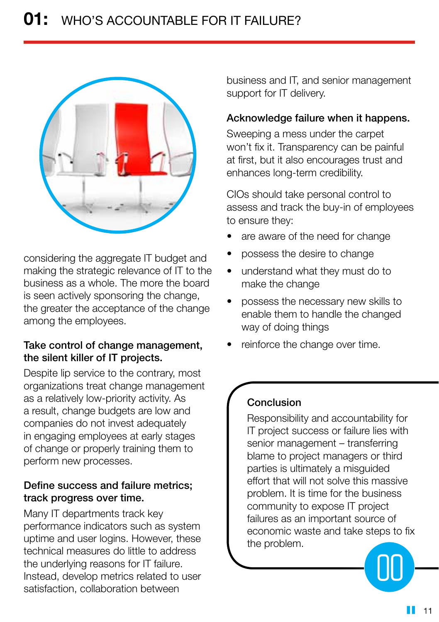

considering the aggregate IT budget and making the strategic relevance of IT to the business as a whole. The more the board is seen actively sponsoring the change, the greater the acceptance of the change among the employees.

#### Take control of change management, the silent killer of IT projects.

Despite lip service to the contrary, most organizations treat change management as a relatively low-priority activity. As a result, change budgets are low and companies do not invest adequately in engaging employees at early stages of change or properly training them to perform new processes.

#### Define success and failure metrics; track progress over time.

Many IT departments track key performance indicators such as system uptime and user logins. However, these technical measures do little to address the underlying reasons for IT failure. Instead, develop metrics related to user satisfaction, collaboration between

business and IT, and senior management support for IT delivery.

#### Acknowledge failure when it happens.

Sweeping a mess under the carpet won't fix it. Transparency can be painful at first, but it also encourages trust and enhances long-term credibility.

CIOs should take personal control to assess and track the buy-in of employees to ensure they:

- are aware of the need for change
- possess the desire to change
- understand what they must do to make the change
- possess the necessary new skills to enable them to handle the changed way of doing things
- reinforce the change over time.

#### Conclusion

Responsibility and accountability for IT project success or failure lies with senior management – transferring blame to project managers or third parties is ultimately a misguided effort that will not solve this massive problem. It is time for the business community to expose IT project failures as an important source of economic waste and take steps to fix the problem.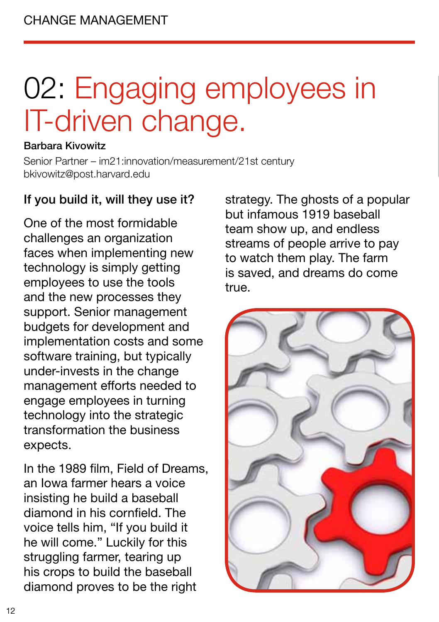# 02: Engaging employees in IT-driven change.

#### Barbara Kivowitz

Senior Partner – im21:innovation/measurement/21st century bkivowitz@post.harvard.edu

#### If you build it, will they use it?

One of the most formidable challenges an organization faces when implementing new technology is simply getting employees to use the tools and the new processes they support. Senior management budgets for development and implementation costs and some software training, but typically under-invests in the change management efforts needed to engage employees in turning technology into the strategic transformation the business expects.

In the 1989 film, Field of Dreams, an Iowa farmer hears a voice insisting he build a baseball diamond in his cornfield. The voice tells him, "If you build it he will come." Luckily for this struggling farmer, tearing up his crops to build the baseball diamond proves to be the right

strategy. The ghosts of a popular but infamous 1919 baseball team show up, and endless streams of people arrive to pay to watch them play. The farm is saved, and dreams do come true.

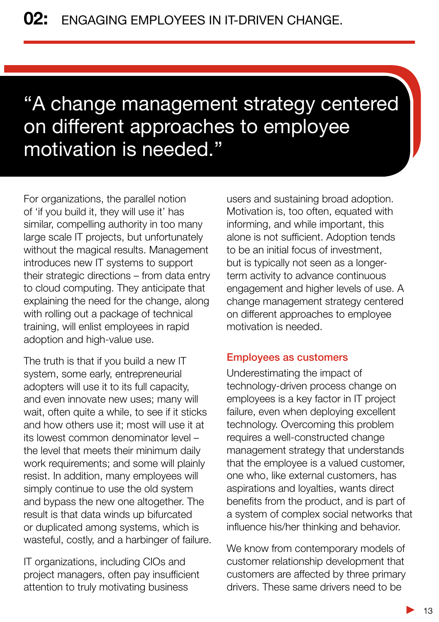## "A change management strategy centered on different approaches to employee motivation is needed."

For organizations, the parallel notion of 'if you build it, they will use it' has similar, compelling authority in too many large scale IT projects, but unfortunately without the magical results. Management introduces new IT systems to support their strategic directions – from data entry to cloud computing. They anticipate that explaining the need for the change, along with rolling out a package of technical training, will enlist employees in rapid adoption and high-value use.

The truth is that if you build a new IT system, some early, entrepreneurial adopters will use it to its full capacity, and even innovate new uses; many will wait, often quite a while, to see if it sticks and how others use it; most will use it at its lowest common denominator level – the level that meets their minimum daily work requirements; and some will plainly resist. In addition, many employees will simply continue to use the old system and bypass the new one altogether. The result is that data winds up bifurcated or duplicated among systems, which is wasteful, costly, and a harbinger of failure.

IT organizations, including CIOs and project managers, often pay insufficient attention to truly motivating business

users and sustaining broad adoption. Motivation is, too often, equated with informing, and while important, this alone is not sufficient. Adoption tends to be an initial focus of investment, but is typically not seen as a longerterm activity to advance continuous engagement and higher levels of use. A change management strategy centered on different approaches to employee motivation is needed.

#### Employees as customers

Underestimating the impact of technology-driven process change on employees is a key factor in IT project failure, even when deploying excellent technology. Overcoming this problem requires a well-constructed change management strategy that understands that the employee is a valued customer, one who, like external customers, has aspirations and loyalties, wants direct benefits from the product, and is part of a system of complex social networks that influence his/her thinking and behavior.

We know from contemporary models of customer relationship development that customers are affected by three primary drivers. These same drivers need to be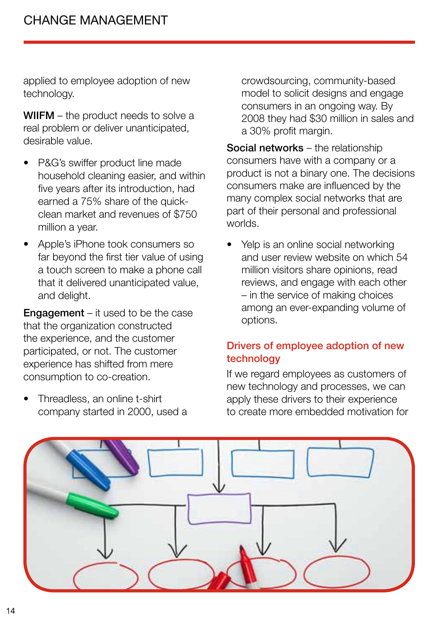applied to employee adoption of new technology.

WIIFM – the product needs to solve a real problem or deliver unanticipated, desirable value.

- P&G's swiffer product line made household cleaning easier, and within five years after its introduction, had earned a 75% share of the quickclean market and revenues of \$750 million a year.
- Apple's iPhone took consumers so far beyond the first tier value of using a touch screen to make a phone call that it delivered unanticipated value, and delight.

**Engagement** – it used to be the case that the organization constructed the experience, and the customer participated, or not. The customer experience has shifted from mere consumption to co-creation.

Threadless, an online t-shirt company started in 2000, used a crowdsourcing, community-based model to solicit designs and engage consumers in an ongoing way. By 2008 they had \$30 million in sales and a 30% profit margin.

Social networks – the relationship consumers have with a company or a product is not a binary one. The decisions consumers make are influenced by the many complex social networks that are part of their personal and professional worlds.

• Yelp is an online social networking and user review website on which 54 million visitors share opinions, read reviews, and engage with each other – in the service of making choices among an ever-expanding volume of options.

#### Drivers of employee adoption of new technology

If we regard employees as customers of new technology and processes, we can apply these drivers to their experience to create more embedded motivation for

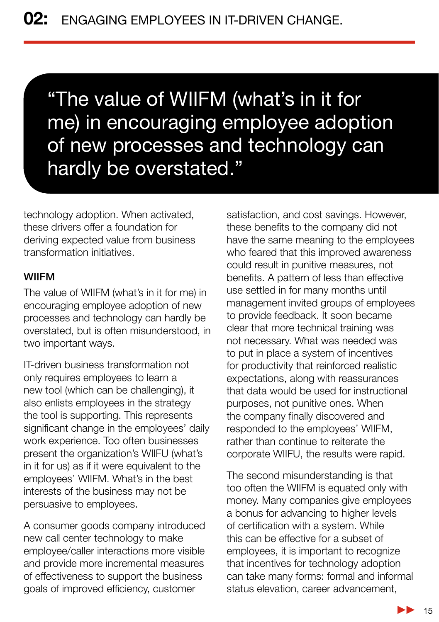"The value of WIIFM (what's in it for me) in encouraging employee adoption of new processes and technology can hardly be overstated."

technology adoption. When activated, these drivers offer a foundation for deriving expected value from business transformation initiatives.

#### WIIFM

The value of WIIFM (what's in it for me) in encouraging employee adoption of new processes and technology can hardly be overstated, but is often misunderstood, in two important ways.

IT-driven business transformation not only requires employees to learn a new tool (which can be challenging), it also enlists employees in the strategy the tool is supporting. This represents significant change in the employees' daily work experience. Too often businesses present the organization's WIIFU (what's in it for us) as if it were equivalent to the employees' WIIFM. What's in the best interests of the business may not be persuasive to employees.

A consumer goods company introduced new call center technology to make employee/caller interactions more visible and provide more incremental measures of effectiveness to support the business goals of improved efficiency, customer

satisfaction, and cost savings. However, these benefits to the company did not have the same meaning to the employees who feared that this improved awareness could result in punitive measures, not benefits. A pattern of less than effective use settled in for many months until management invited groups of employees to provide feedback. It soon became clear that more technical training was not necessary. What was needed was to put in place a system of incentives for productivity that reinforced realistic expectations, along with reassurances that data would be used for instructional purposes, not punitive ones. When the company finally discovered and responded to the employees' WIIFM, rather than continue to reiterate the corporate WIIFU, the results were rapid.

The second misunderstanding is that too often the WIIFM is equated only with money. Many companies give employees a bonus for advancing to higher levels of certification with a system. While this can be effective for a subset of employees, it is important to recognize that incentives for technology adoption can take many forms: formal and informal status elevation, career advancement,

> $\blacktriangleright$ 15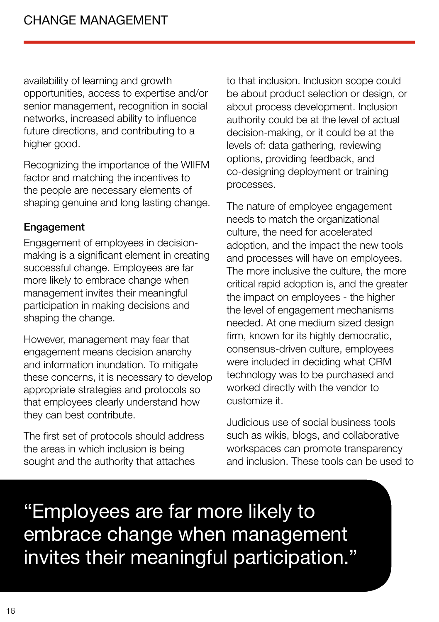availability of learning and growth opportunities, access to expertise and/or senior management, recognition in social networks, increased ability to influence future directions, and contributing to a higher good.

Recognizing the importance of the WIIFM factor and matching the incentives to the people are necessary elements of shaping genuine and long lasting change.

#### Engagement

Engagement of employees in decisionmaking is a significant element in creating successful change. Employees are far more likely to embrace change when management invites their meaningful participation in making decisions and shaping the change.

However, management may fear that engagement means decision anarchy and information inundation. To mitigate these concerns, it is necessary to develop appropriate strategies and protocols so that employees clearly understand how they can best contribute.

The first set of protocols should address the areas in which inclusion is being sought and the authority that attaches

to that inclusion. Inclusion scope could be about product selection or design, or about process development. Inclusion authority could be at the level of actual decision-making, or it could be at the levels of: data gathering, reviewing options, providing feedback, and co-designing deployment or training processes.

The nature of employee engagement needs to match the organizational culture, the need for accelerated adoption, and the impact the new tools and processes will have on employees. The more inclusive the culture, the more critical rapid adoption is, and the greater the impact on employees - the higher the level of engagement mechanisms needed. At one medium sized design firm, known for its highly democratic, consensus-driven culture, employees were included in deciding what CRM technology was to be purchased and worked directly with the vendor to customize it.

Judicious use of social business tools such as wikis, blogs, and collaborative workspaces can promote transparency and inclusion. These tools can be used to

"Employees are far more likely to embrace change when management invites their meaningful participation."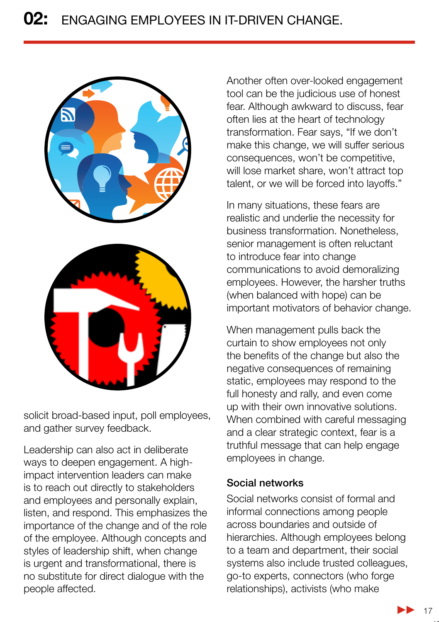

solicit broad-based input, poll employees, and gather survey feedback.

Leadership can also act in deliberate ways to deepen engagement. A highimpact intervention leaders can make is to reach out directly to stakeholders and employees and personally explain, listen, and respond. This emphasizes the importance of the change and of the role of the employee. Although concepts and styles of leadership shift, when change is urgent and transformational, there is no substitute for direct dialogue with the people affected.

Another often over-looked engagement tool can be the judicious use of honest fear. Although awkward to discuss, fear often lies at the heart of technology transformation. Fear says, "If we don't make this change, we will suffer serious consequences, won't be competitive, will lose market share, won't attract top talent, or we will be forced into layoffs."

In many situations, these fears are realistic and underlie the necessity for business transformation. Nonetheless, senior management is often reluctant to introduce fear into change communications to avoid demoralizing employees. However, the harsher truths (when balanced with hope) can be important motivators of behavior change.

When management pulls back the curtain to show employees not only the benefits of the change but also the negative consequences of remaining static, employees may respond to the full honesty and rally, and even come up with their own innovative solutions. When combined with careful messaging and a clear strategic context, fear is a truthful message that can help engage employees in change.

#### Social networks

Social networks consist of formal and informal connections among people across boundaries and outside of hierarchies. Although employees belong to a team and department, their social systems also include trusted colleagues, go-to experts, connectors (who forge relationships), activists (who make

 $\blacktriangleright$  17

17.17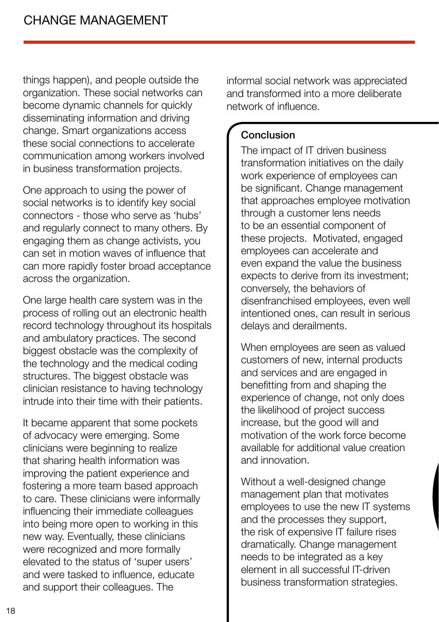things happen), and people outside the organization. These social networks can become dynamic channels for quickly disseminating information and driving change. Smart organizations access these social connections to accelerate communication among workers involved in business transformation projects.

One approach to using the power of social networks is to identify key social connectors - those who serve as 'hubs' and regularly connect to many others. By engaging them as change activists, you can set in motion waves of influence that can more rapidly foster broad acceptance across the organization.

One large health care system was in the process of rolling out an electronic health record technology throughout its hospitals and ambulatory practices. The second biggest obstacle was the complexity of the technology and the medical coding structures. The biggest obstacle was clinician resistance to having technology intrude into their time with their patients.

It became apparent that some pockets of advocacy were emerging. Some clinicians were beginning to realize that sharing health information was improving the patient experience and fostering a more team based approach to care. These clinicians were informally influencing their immediate colleagues into being more open to working in this new way. Eventually, these clinicians were recognized and more formally elevated to the status of 'super users' and were tasked to influence, educate and support their colleagues. The

informal social network was appreciated and transformed into a more deliberate network of influence.

#### Conclusion

The impact of IT driven business transformation initiatives on the daily work experience of employees can be significant. Change management that approaches employee motivation through a customer lens needs to be an essential component of these projects. Motivated, engaged employees can accelerate and even expand the value the business expects to derive from its investment; conversely, the behaviors of disenfranchised employees, even well intentioned ones, can result in serious delays and derailments.

When employees are seen as valued customers of new, internal products and services and are engaged in benefitting from and shaping the experience of change, not only does the likelihood of project success increase, but the good will and motivation of the work force become available for additional value creation and innovation.

Without a well-designed change management plan that motivates employees to use the new IT systems and the processes they support, the risk of expensive IT failure rises dramatically. Change management needs to be integrated as a key element in all successful IT-driven business transformation strategies.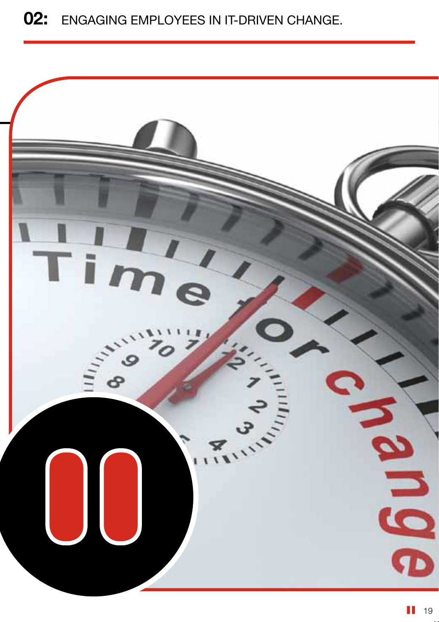### 02: ENGAGING EMPLOYEES IN IT-DRIVEN CHANGE.

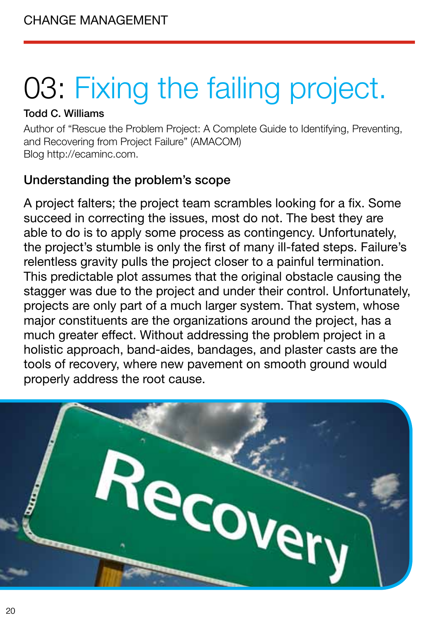# 03: Fixing the failing project.

#### Todd C. Williams

Author of "Rescue the Problem Project: A Complete Guide to Identifying, Preventing, and Recovering from Project Failure" (AMACOM) Blog http://ecaminc.com.

#### Understanding the problem's scope

A project falters; the project team scrambles looking for a fix. Some succeed in correcting the issues, most do not. The best they are able to do is to apply some process as contingency. Unfortunately, the project's stumble is only the first of many ill-fated steps. Failure's relentless gravity pulls the project closer to a painful termination. This predictable plot assumes that the original obstacle causing the stagger was due to the project and under their control. Unfortunately, projects are only part of a much larger system. That system, whose major constituents are the organizations around the project, has a much greater effect. Without addressing the problem project in a holistic approach, band-aides, bandages, and plaster casts are the tools of recovery, where new pavement on smooth ground would properly address the root cause.

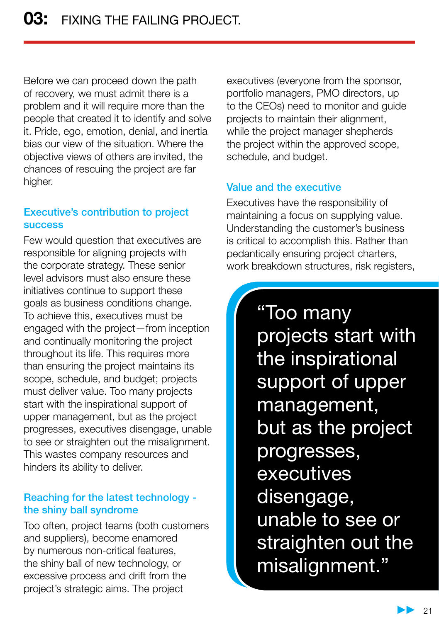Before we can proceed down the path of recovery, we must admit there is a problem and it will require more than the people that created it to identify and solve it. Pride, ego, emotion, denial, and inertia bias our view of the situation. Where the objective views of others are invited, the chances of rescuing the project are far higher.

#### Executive's contribution to project success

Few would question that executives are responsible for aligning projects with the corporate strategy. These senior level advisors must also ensure these initiatives continue to support these goals as business conditions change. To achieve this, executives must be engaged with the project—from inception and continually monitoring the project throughout its life. This requires more than ensuring the project maintains its scope, schedule, and budget; projects must deliver value. Too many projects start with the inspirational support of upper management, but as the project progresses, executives disengage, unable to see or straighten out the misalignment. This wastes company resources and hinders its ability to deliver.

#### Reaching for the latest technology the shiny ball syndrome

Too often, project teams (both customers and suppliers), become enamored by numerous non-critical features, the shiny ball of new technology, or excessive process and drift from the project's strategic aims. The project

executives (everyone from the sponsor, portfolio managers, PMO directors, up to the CEOs) need to monitor and guide projects to maintain their alignment, while the project manager shepherds the project within the approved scope, schedule, and budget.

#### Value and the executive

Executives have the responsibility of maintaining a focus on supplying value. Understanding the customer's business is critical to accomplish this. Rather than pedantically ensuring project charters, work breakdown structures, risk registers,

> "Too many projects start with the inspirational support of upper management, but as the project progresses, **executives** disengage, unable to see or straighten out the misalignment."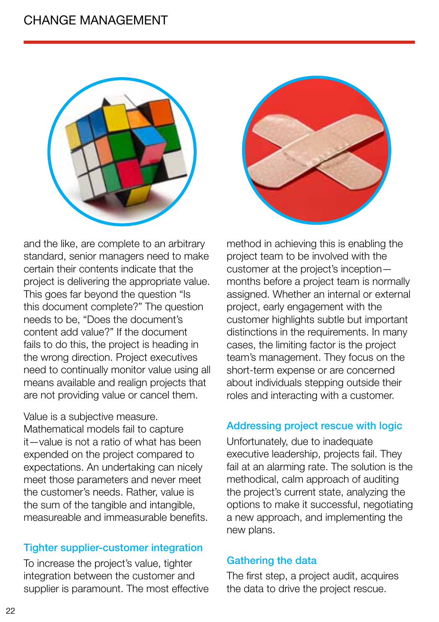#### change management





and the like, are complete to an arbitrary standard, senior managers need to make certain their contents indicate that the project is delivering the appropriate value. This goes far beyond the question "Is this document complete?" The question needs to be, "Does the document's content add value?" If the document fails to do this, the project is heading in the wrong direction. Project executives need to continually monitor value using all means available and realign projects that are not providing value or cancel them.

Value is a subjective measure.

Mathematical models fail to capture it—value is not a ratio of what has been expended on the project compared to expectations. An undertaking can nicely meet those parameters and never meet the customer's needs. Rather, value is the sum of the tangible and intangible, measureable and immeasurable benefits.

#### Tighter supplier-customer integration

To increase the project's value, tighter integration between the customer and supplier is paramount. The most effective method in achieving this is enabling the project team to be involved with the customer at the project's inception months before a project team is normally assigned. Whether an internal or external project, early engagement with the customer highlights subtle but important distinctions in the requirements. In many cases, the limiting factor is the project team's management. They focus on the short-term expense or are concerned about individuals stepping outside their roles and interacting with a customer.

#### Addressing project rescue with logic

Unfortunately, due to inadequate executive leadership, projects fail. They fail at an alarming rate. The solution is the methodical, calm approach of auditing the project's current state, analyzing the options to make it successful, negotiating a new approach, and implementing the new plans.

#### Gathering the data

The first step, a project audit, acquires the data to drive the project rescue.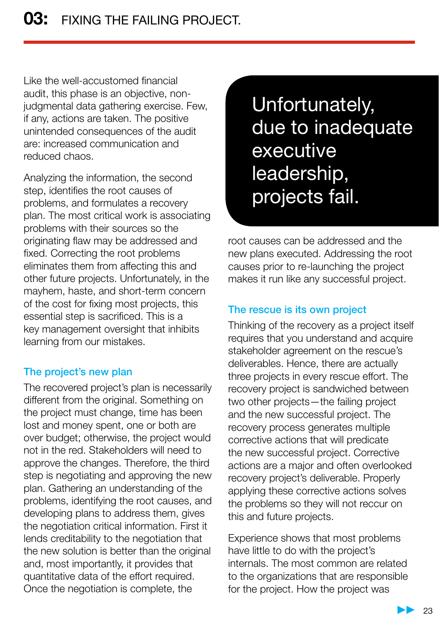Like the well-accustomed financial audit, this phase is an objective, nonjudgmental data gathering exercise. Few, if any, actions are taken. The positive unintended consequences of the audit are: increased communication and reduced chaos.

Analyzing the information, the second step, identifies the root causes of problems, and formulates a recovery plan. The most critical work is associating problems with their sources so the originating flaw may be addressed and fixed. Correcting the root problems eliminates them from affecting this and other future projects. Unfortunately, in the mayhem, haste, and short-term concern of the cost for fixing most projects, this essential step is sacrificed. This is a key management oversight that inhibits learning from our mistakes.

#### The project's new plan

The recovered project's plan is necessarily different from the original. Something on the project must change, time has been lost and money spent, one or both are over budget; otherwise, the project would not in the red. Stakeholders will need to approve the changes. Therefore, the third step is negotiating and approving the new plan. Gathering an understanding of the problems, identifying the root causes, and developing plans to address them, gives the negotiation critical information. First it lends creditability to the negotiation that the new solution is better than the original and, most importantly, it provides that quantitative data of the effort required. Once the negotiation is complete, the

Unfortunately, due to inadequate executive leadership, projects fail.

root causes can be addressed and the new plans executed. Addressing the root causes prior to re-launching the project makes it run like any successful project.

#### The rescue is its own project

Thinking of the recovery as a project itself requires that you understand and acquire stakeholder agreement on the rescue's deliverables. Hence, there are actually three projects in every rescue effort. The recovery project is sandwiched between two other projects—the failing project and the new successful project. The recovery process generates multiple corrective actions that will predicate the new successful project. Corrective actions are a major and often overlooked recovery project's deliverable. Properly applying these corrective actions solves the problems so they will not reccur on this and future projects.

Experience shows that most problems have little to do with the project's internals. The most common are related to the organizations that are responsible for the project. How the project was

23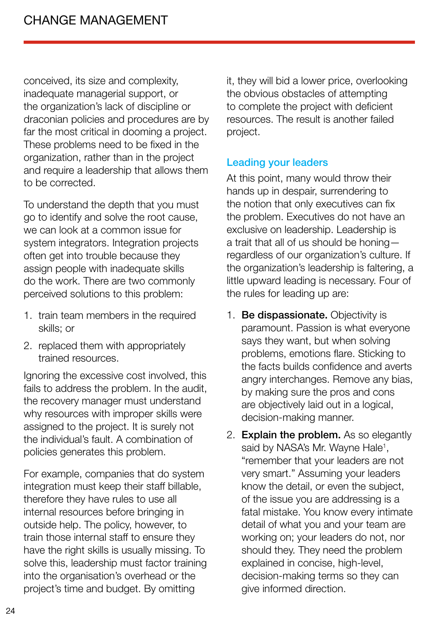conceived, its size and complexity, inadequate managerial support, or the organization's lack of discipline or draconian policies and procedures are by far the most critical in dooming a project. These problems need to be fixed in the organization, rather than in the project and require a leadership that allows them to be corrected.

To understand the depth that you must go to identify and solve the root cause, we can look at a common issue for system integrators. Integration projects often get into trouble because they assign people with inadequate skills do the work. There are two commonly perceived solutions to this problem:

- 1. train team members in the required skills; or
- 2. replaced them with appropriately trained resources.

Ignoring the excessive cost involved, this fails to address the problem. In the audit, the recovery manager must understand why resources with improper skills were assigned to the project. It is surely not the individual's fault. A combination of policies generates this problem.

For example, companies that do system integration must keep their staff billable, therefore they have rules to use all internal resources before bringing in outside help. The policy, however, to train those internal staff to ensure they have the right skills is usually missing. To solve this, leadership must factor training into the organisation's overhead or the project's time and budget. By omitting

it, they will bid a lower price, overlooking the obvious obstacles of attempting to complete the project with deficient resources. The result is another failed project.

#### Leading your leaders

At this point, many would throw their hands up in despair, surrendering to the notion that only executives can fix the problem. Executives do not have an exclusive on leadership. Leadership is a trait that all of us should be honing regardless of our organization's culture. If the organization's leadership is faltering, a little upward leading is necessary. Four of the rules for leading up are:

- 1. Be dispassionate. Objectivity is paramount. Passion is what everyone says they want, but when solving problems, emotions flare. Sticking to the facts builds confidence and averts angry interchanges. Remove any bias, by making sure the pros and cons are objectively laid out in a logical, decision-making manner.
- 2. Explain the problem. As so elegantly said by NASA's Mr. Wayne Hale<sup>1</sup>, "remember that your leaders are not very smart." Assuming your leaders know the detail, or even the subject, of the issue you are addressing is a fatal mistake. You know every intimate detail of what you and your team are working on; your leaders do not, nor should they. They need the problem explained in concise, high-level, decision-making terms so they can give informed direction.